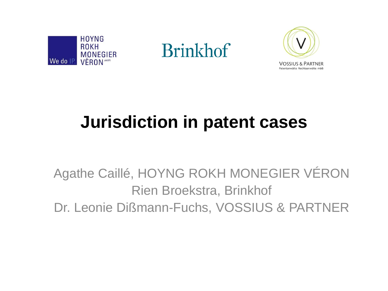

**Brinkhof** 



### **Jurisdiction in patent cases**

Agathe Caillé, HOYNG ROKH MONEGIER VÉRON Rien Broekstra, Brinkhof Dr. Leonie Dißmann-Fuchs, VOSSIUS & PARTNER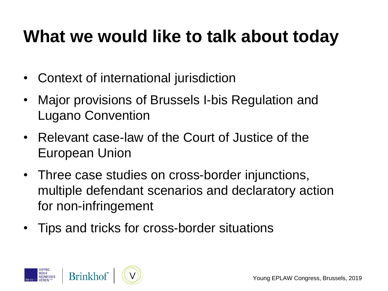### **What we would like to talk about today**

- Context of international jurisdiction
- Major provisions of Brussels I-bis Regulation and Lugano Convention
- Relevant case-law of the Court of Justice of the European Union
- Three case studies on cross-border injunctions, multiple defendant scenarios and declaratory action for non-infringement
- Tips and tricks for cross-border situations

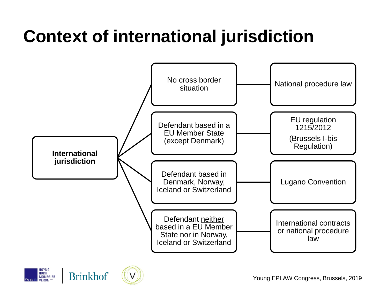## **Context of international jurisdiction**





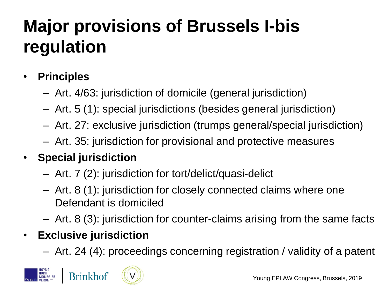### **Major provisions of Brussels I-bis regulation**

#### • **Principles**

- Art. 4/63: jurisdiction of domicile (general jurisdiction)
- Art. 5 (1): special jurisdictions (besides general jurisdiction)
- Art. 27: exclusive jurisdiction (trumps general/special jurisdiction)
- Art. 35: jurisdiction for provisional and protective measures
- **Special jurisdiction**
	- Art. 7 (2): jurisdiction for tort/delict/quasi-delict
	- Art. 8 (1): jurisdiction for closely connected claims where one Defendant is domiciled
	- Art. 8 (3): jurisdiction for counter-claims arising from the same facts

#### • **Exclusive jurisdiction**

– Art. 24 (4): proceedings concerning registration / validity of a patent



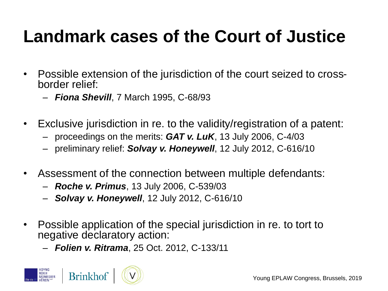### **Landmark cases of the Court of Justice**

- Possible extension of the jurisdiction of the court seized to crossborder relief:
	- *Fiona Shevill*, 7 March 1995, C-68/93
- Exclusive jurisdiction in re. to the validity/registration of a patent:
	- proceedings on the merits: *GAT v. LuK*, 13 July 2006, C-4/03
	- preliminary relief: *Solvay v. Honeywell*, 12 July 2012, C-616/10
- Assessment of the connection between multiple defendants:
	- *Roche v. Primus*, 13 July 2006, C-539/03
	- *Solvay v. Honeywell*, 12 July 2012, C-616/10
- Possible application of the special jurisdiction in re. to tort to negative declaratory action:
	- *Folien v. Ritrama*, 25 Oct. 2012, C-133/11



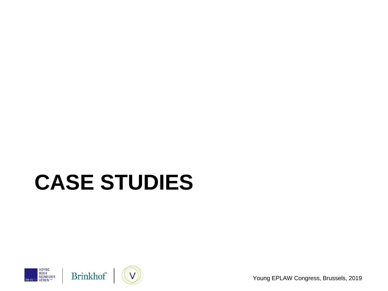# **CASE STUDIES**







Young EPLAW Congress, Brussels, 2019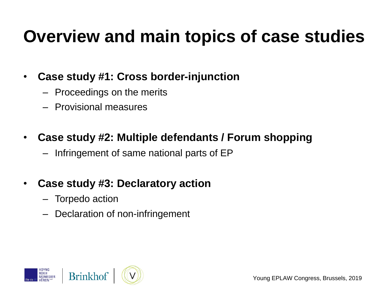### **Overview and main topics of case studies**

#### • **Case study #1: Cross border-injunction**

- Proceedings on the merits
- Provisional measures

#### • **Case study #2: Multiple defendants / Forum shopping**

– Infringement of same national parts of EP

#### • **Case study #3: Declaratory action**

- Torpedo action
- Declaration of non-infringement

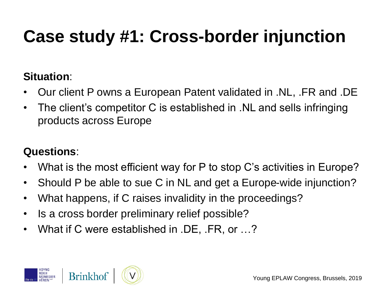## **Case study #1: Cross-border injunction**

#### **Situation**:

- Our client P owns a European Patent validated in .NL, .FR and .DE
- The client's competitor C is established in .NL and sells infringing products across Europe

#### **Questions**:

- What is the most efficient way for P to stop C's activities in Europe?
- Should P be able to sue C in NL and get a Europe-wide injunction?
- What happens, if C raises invalidity in the proceedings?
- Is a cross border preliminary relief possible?
- What if C were established in .DE, .FR, or …?

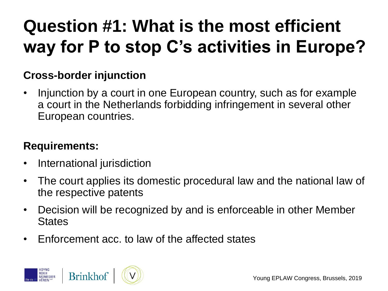## **Question #1: What is the most efficient way for P to stop C's activities in Europe?**

#### **Cross-border injunction**

• Injunction by a court in one European country, such as for example a court in the Netherlands forbidding infringement in several other European countries.

#### **Requirements:**

- International jurisdiction
- The court applies its domestic procedural law and the national law of the respective patents
- Decision will be recognized by and is enforceable in other Member **States**
- Enforcement acc. to law of the affected states

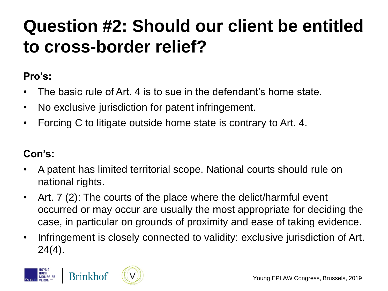### **Question #2: Should our client be entitled to cross-border relief?**

#### **Pro's:**

- The basic rule of Art. 4 is to sue in the defendant's home state.
- No exclusive jurisdiction for patent infringement.
- Forcing C to litigate outside home state is contrary to Art. 4.

#### **Con's:**

- A patent has limited territorial scope. National courts should rule on national rights.
- Art. 7 (2): The courts of the place where the delict/harmful event occurred or may occur are usually the most appropriate for deciding the case, in particular on grounds of proximity and ease of taking evidence.
- Infringement is closely connected to validity: exclusive jurisdiction of Art. 24(4).

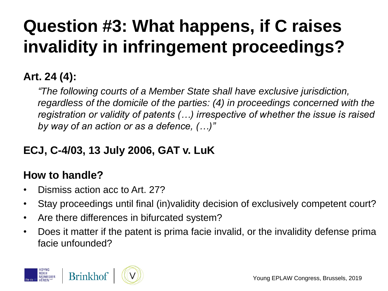## **Question #3: What happens, if C raises invalidity in infringement proceedings?**

#### **Art. 24 (4):**

*"The following courts of a Member State shall have exclusive jurisdiction, regardless of the domicile of the parties: (4) in proceedings concerned with the registration or validity of patents (…) irrespective of whether the issue is raised by way of an action or as a defence, (…)"*

#### **ECJ, C-4/03, 13 July 2006, GAT v. LuK**

#### **How to handle?**

- Dismiss action acc to Art. 27?
- Stay proceedings until final (in)validity decision of exclusively competent court?
- Are there differences in bifurcated system?
- Does it matter if the patent is prima facie invalid, or the invalidity defense prima facie unfounded?

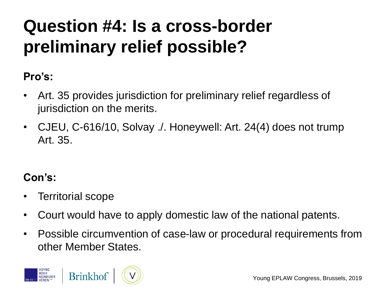### **Question #4: Is a cross-border preliminary relief possible?**

#### **Pro's:**

- Art. 35 provides jurisdiction for preliminary relief regardless of jurisdiction on the merits.
- CJEU, C-616/10, Solvay ./. Honeywell: Art. 24(4) does not trump Art. 35.

#### **Con's:**

- Territorial scope
- Court would have to apply domestic law of the national patents.
- Possible circumvention of case-law or procedural requirements from other Member States.

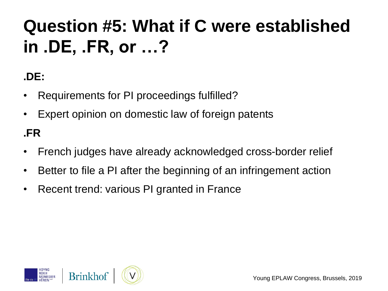## **Question #5: What if C were established in .DE, .FR, or …?**

#### **.DE:**

- Requirements for PI proceedings fulfilled?
- Expert opinion on domestic law of foreign patents

#### **.FR**

- French judges have already acknowledged cross-border relief
- Better to file a PI after the beginning of an infringement action
- Recent trend: various PI granted in France

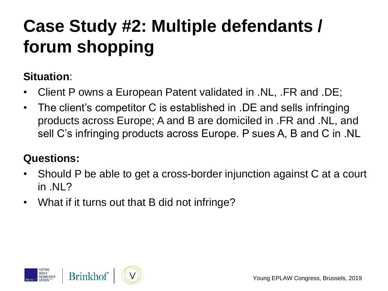## **Case Study #2: Multiple defendants / forum shopping**

#### **Situation**:

- Client P owns a European Patent validated in .NL, .FR and .DE;
- The client's competitor C is established in .DE and sells infringing products across Europe; A and B are domiciled in .FR and .NL, and sell C's infringing products across Europe. P sues A, B and C in .NL

#### **Questions:**

- Should P be able to get a cross-border injunction against C at a court in  $Nl$  ?
- What if it turns out that B did not infringe?

![](_page_13_Picture_7.jpeg)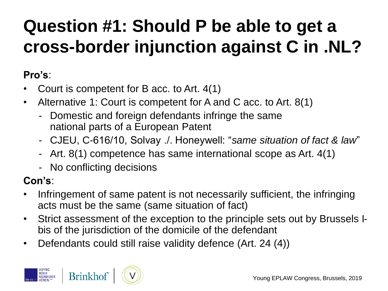### **Question #1: Should P be able to get a cross-border injunction against C in .NL?**

#### **Pro's**:

- Court is competent for B acc. to Art. 4(1)
- Alternative 1: Court is competent for A and C acc. to Art. 8(1)
	- Domestic and foreign defendants infringe the same national parts of a European Patent
	- CJEU, C-616/10, Solvay ./. Honeywell: "*same situation of fact & law*"
	- Art. 8(1) competence has same international scope as Art. 4(1)
	- No conflicting decisions

#### **Con's**:

- Infringement of same patent is not necessarily sufficient, the infringing acts must be the same (same situation of fact)
- Strict assessment of the exception to the principle sets out by Brussels Ibis of the jurisdiction of the domicile of the defendant
- Defendants could still raise validity defence (Art. 24 (4))

![](_page_14_Picture_12.jpeg)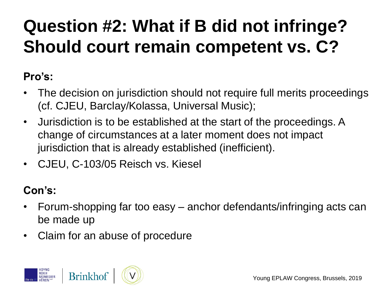## **Question #2: What if B did not infringe? Should court remain competent vs. C?**

#### **Pro's:**

- The decision on jurisdiction should not require full merits proceedings (cf. CJEU, Barclay/Kolassa, Universal Music);
- Jurisdiction is to be established at the start of the proceedings. A change of circumstances at a later moment does not impact jurisdiction that is already established (inefficient).
- CJEU, C-103/05 Reisch vs. Kiesel

#### **Con's:**

- Forum-shopping far too easy anchor defendants/infringing acts can be made up
- Claim for an abuse of procedure

![](_page_15_Picture_8.jpeg)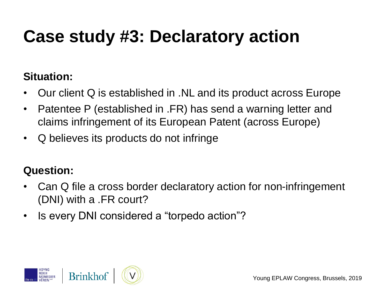### **Case study #3: Declaratory action**

#### **Situation:**

- Our client Q is established in .NL and its product across Europe
- Patentee P (established in .FR) has send a warning letter and claims infringement of its European Patent (across Europe)
- Q believes its products do not infringe

#### **Question:**

- Can Q file a cross border declaratory action for non-infringement (DNI) with a .FR court?
- Is every DNI considered a "torpedo action"?

![](_page_16_Picture_8.jpeg)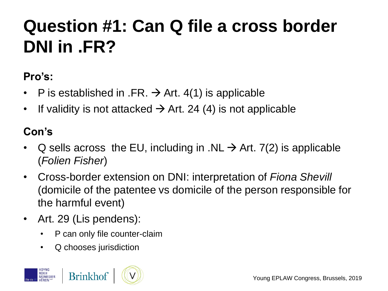### **Question #1: Can Q file a cross border DNI in .FR?**

#### **Pro's:**

- P is established in .FR.  $\rightarrow$  Art. 4(1) is applicable
- If validity is not attacked  $\rightarrow$  Art. 24 (4) is not applicable

#### **Con's**

- Q sells across the EU, including in .NL  $\rightarrow$  Art. 7(2) is applicable (*Folien Fisher*)
- Cross-border extension on DNI: interpretation of *Fiona Shevill* (domicile of the patentee vs domicile of the person responsible for the harmful event)
- Art. 29 (Lis pendens):
	- P can only file counter-claim
	- Q chooses jurisdiction

![](_page_17_Picture_10.jpeg)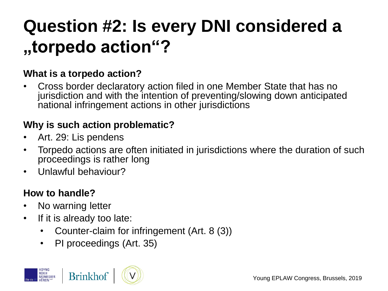### **Question #2: Is every DNI considered a "torpedo action"?**

#### **What is a torpedo action?**

• Cross border declaratory action filed in one Member State that has no jurisdiction and with the intention of preventing/slowing down anticipated national infringement actions in other jurisdictions

#### **Why is such action problematic?**

- Art. 29: Lis pendens
- Torpedo actions are often initiated in jurisdictions where the duration of such proceedings is rather long
- Unlawful behaviour?

#### **How to handle?**

- No warning letter
- If it is already too late:
	- Counter-claim for infringement (Art. 8 (3))
	- PI proceedings (Art. 35)

![](_page_18_Picture_12.jpeg)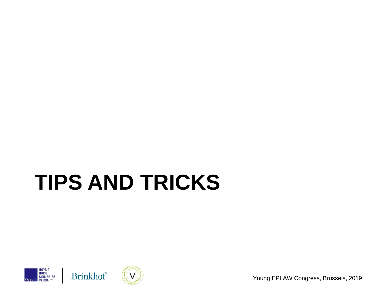# **TIPS AND TRICKS**

![](_page_19_Picture_1.jpeg)

![](_page_19_Picture_2.jpeg)

![](_page_19_Picture_3.jpeg)

Young EPLAW Congress, Brussels, 2019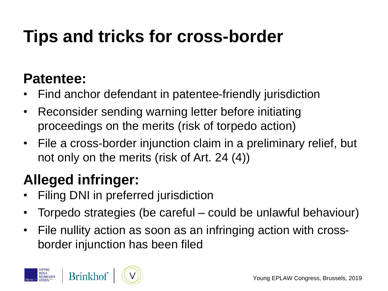## **Tips and tricks for cross-border**

### **Patentee:**

- Find anchor defendant in patentee-friendly jurisdiction
- Reconsider sending warning letter before initiating proceedings on the merits (risk of torpedo action)
- File a cross-border injunction claim in a preliminary relief, but not only on the merits (risk of Art. 24 (4))

### **Alleged infringer:**

- Filing DNI in preferred jurisdiction
- Torpedo strategies (be careful could be unlawful behaviour)
- File nullity action as soon as an infringing action with crossborder injunction has been filed

![](_page_20_Picture_9.jpeg)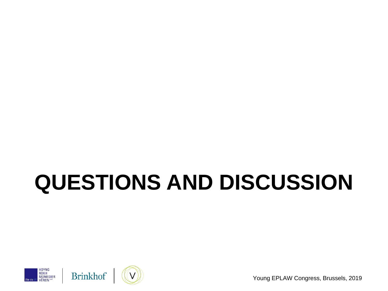# **QUESTIONS AND DISCUSSION**

![](_page_21_Picture_1.jpeg)

![](_page_21_Picture_2.jpeg)

Young EPLAW Congress, Brussels, 2019